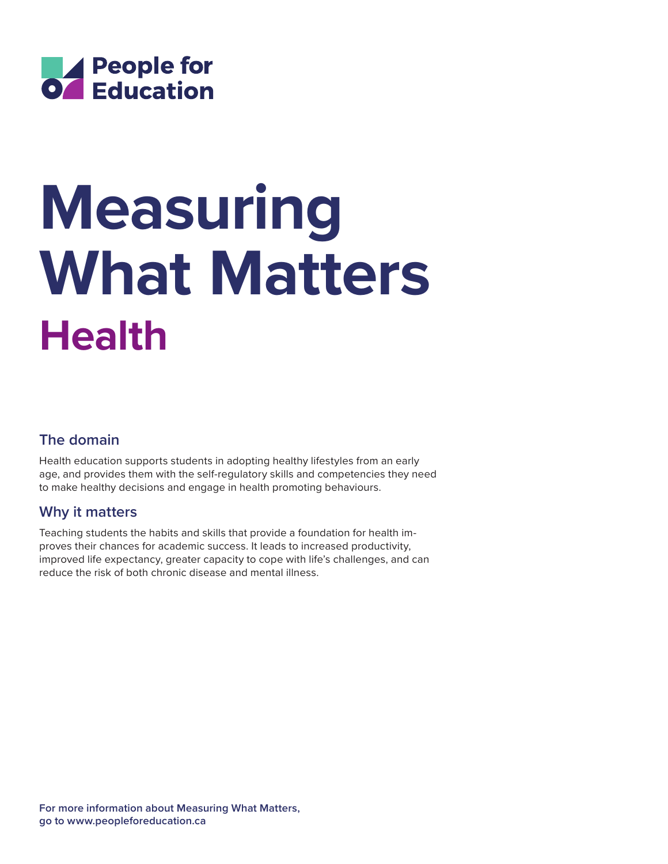

# **Health Measuring What Matters**

# **The domain**

Health education supports students in adopting healthy lifestyles from an early age, and provides them with the self-regulatory skills and competencies they need to make healthy decisions and engage in health promoting behaviours.

## **Why it matters**

Teaching students the habits and skills that provide a foundation for health improves their chances for academic success. It leads to increased productivity, improved life expectancy, greater capacity to cope with life's challenges, and can reduce the risk of both chronic disease and mental illness.